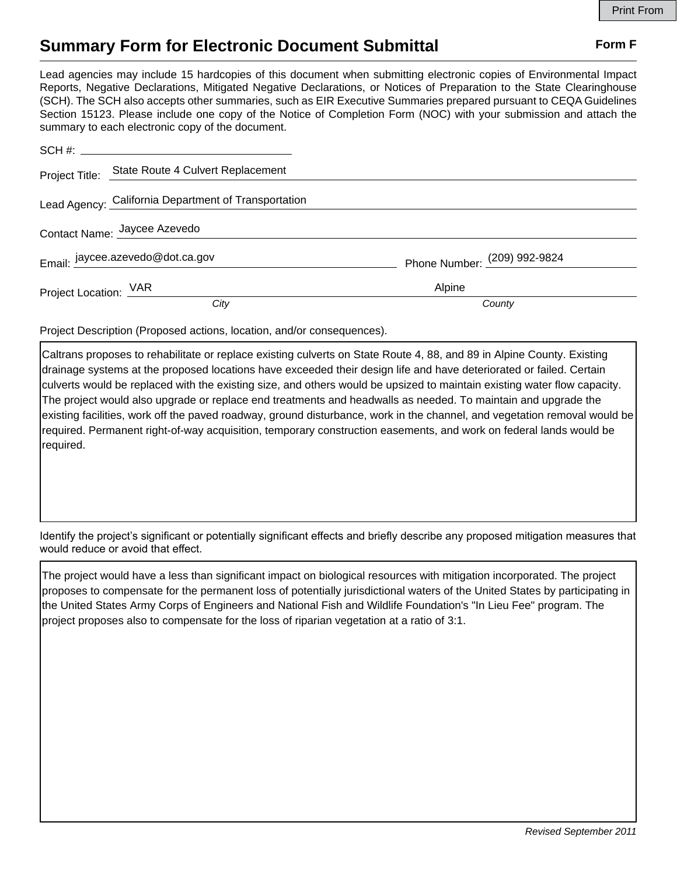## **Summary Form for Electronic Document Submittal Form F Form F**

Lead agencies may include 15 hardcopies of this document when submitting electronic copies of Environmental Impact Reports, Negative Declarations, Mitigated Negative Declarations, or Notices of Preparation to the State Clearinghouse (SCH). The SCH also accepts other summaries, such as EIR Executive Summaries prepared pursuant to CEQA Guidelines Section 15123. Please include one copy of the Notice of Completion Form (NOC) with your submission and attach the summary to each electronic copy of the document.

|                              | Project Title: State Route 4 Culvert Replacement     |                              |
|------------------------------|------------------------------------------------------|------------------------------|
|                              | Lead Agency: California Department of Transportation |                              |
| Contact Name: Jaycee Azevedo |                                                      |                              |
|                              | Email: jaycee.azevedo@dot.ca.gov                     | Phone Number: (209) 992-9824 |
|                              | Project Location: VAR                                | Alpine                       |
|                              | City                                                 | County                       |

Project Description (Proposed actions, location, and/or consequences).

Caltrans proposes to rehabilitate or replace existing culverts on State Route 4, 88, and 89 in Alpine County. Existing drainage systems at the proposed locations have exceeded their design life and have deteriorated or failed. Certain culverts would be replaced with the existing size, and others would be upsized to maintain existing water flow capacity. The project would also upgrade or replace end treatments and headwalls as needed. To maintain and upgrade the existing facilities, work off the paved roadway, ground disturbance, work in the channel, and vegetation removal would be required. Permanent right-of-way acquisition, temporary construction easements, and work on federal lands would be required.

Identify the project's significant or potentially significant effects and briefly describe any proposed mitigation measures that would reduce or avoid that effect.

The project would have a less than significant impact on biological resources with mitigation incorporated. The project proposes to compensate for the permanent loss of potentially jurisdictional waters of the United States by participating in the United States Army Corps of Engineers and National Fish and Wildlife Foundation's "In Lieu Fee" program. The project proposes also to compensate for the loss of riparian vegetation at a ratio of 3:1.